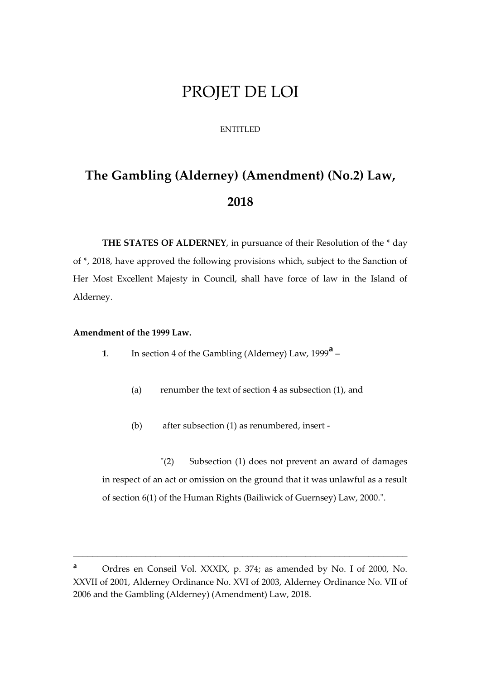# PROJET DE LOI

## ENTITLED

# **The Gambling (Alderney) (Amendment) (No.2) Law, 2018**

**THE STATES OF ALDERNEY**, in pursuance of their Resolution of the \* day of \*, 2018, have approved the following provisions which, subject to the Sanction of Her Most Excellent Majesty in Council, shall have force of law in the Island of Alderney.

#### **Amendment of the 1999 Law.**

- **<sup>1</sup>**. In section 4 of the Gambling (Alderney) Law, 1999**<sup>a</sup>**
	- (a) renumber the text of section 4 as subsection (1), and
	- (b) after subsection (1) as renumbered, insert -

"(2) Subsection (1) does not prevent an award of damages in respect of an act or omission on the ground that it was unlawful as a result of section 6(1) of the Human Rights (Bailiwick of Guernsey) Law, 2000.".

\_\_\_\_\_\_\_\_\_\_\_\_\_\_\_\_\_\_\_\_\_\_\_\_\_\_\_\_\_\_\_\_\_\_\_\_\_\_\_\_\_\_\_\_\_\_\_\_\_\_\_\_\_\_\_\_\_\_\_\_\_\_\_\_\_\_\_\_\_

**<sup>a</sup>** Ordres en Conseil Vol. XXXIX, p. 374; as amended by No. I of 2000, No. XXVII of 2001, Alderney Ordinance No. XVI of 2003, Alderney Ordinance No. VII of 2006 and the Gambling (Alderney) (Amendment) Law, 2018.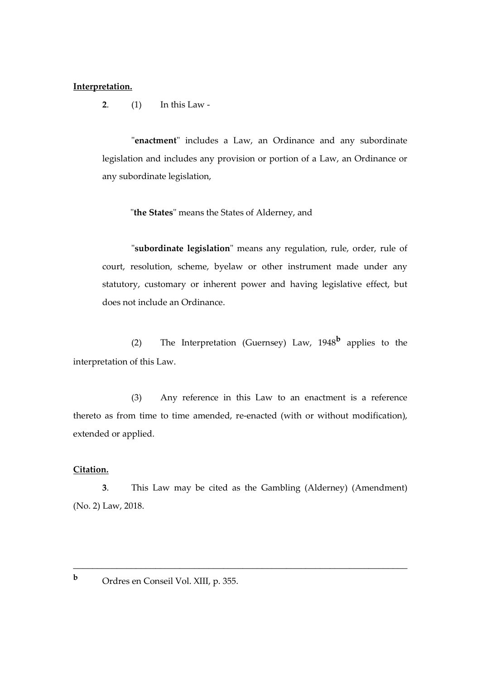#### **Interpretation.**

**2**. (1) In this Law -

"**enactment**" includes a Law, an Ordinance and any subordinate legislation and includes any provision or portion of a Law, an Ordinance or any subordinate legislation,

"**the States**" means the States of Alderney, and

"**subordinate legislation**" means any regulation, rule, order, rule of court, resolution, scheme, byelaw or other instrument made under any statutory, customary or inherent power and having legislative effect, but does not include an Ordinance.

(2) The Interpretation (Guernsey) Law, 1948**<sup>b</sup>** applies to the interpretation of this Law.

(3) Any reference in this Law to an enactment is a reference thereto as from time to time amended, re-enacted (with or without modification), extended or applied.

#### **Citation.**

**3**. This Law may be cited as the Gambling (Alderney) (Amendment) (No. 2) Law, 2018.

\_\_\_\_\_\_\_\_\_\_\_\_\_\_\_\_\_\_\_\_\_\_\_\_\_\_\_\_\_\_\_\_\_\_\_\_\_\_\_\_\_\_\_\_\_\_\_\_\_\_\_\_\_\_\_\_\_\_\_\_\_\_\_\_\_\_\_\_\_

**<sup>b</sup>** Ordres en Conseil Vol. XIII, p. 355.